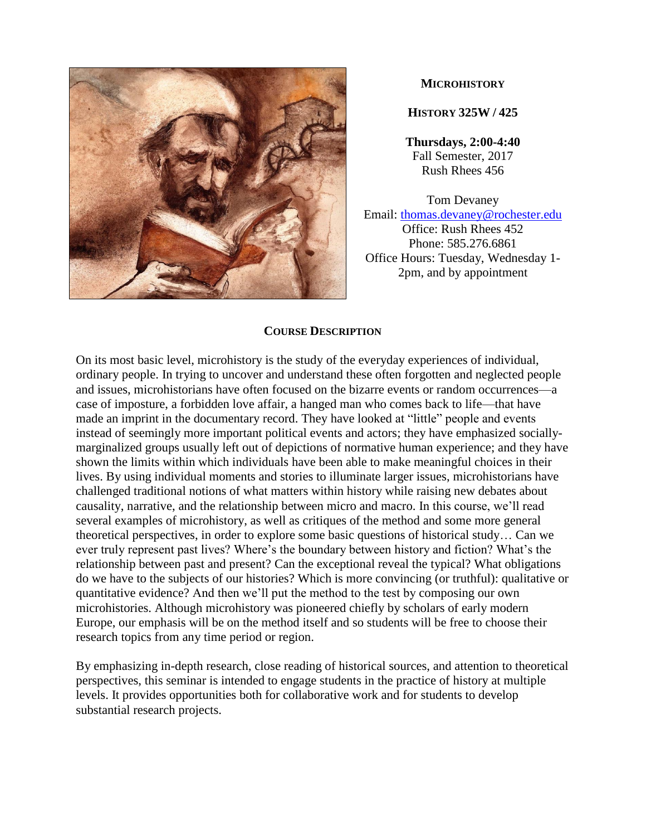

### **MICROHISTORY**

**HISTORY 325W / 425**

**Thursdays, 2:00-4:40** Fall Semester, 2017 Rush Rhees 456

Tom Devaney Email: [thomas.devaney@rochester.edu](mailto:thomas.devaney@rochester.edu) Office: Rush Rhees 452 Phone: 585.276.6861 Office Hours: Tuesday, Wednesday 1- 2pm, and by appointment

#### **COURSE DESCRIPTION**

On its most basic level, microhistory is the study of the everyday experiences of individual, ordinary people. In trying to uncover and understand these often forgotten and neglected people and issues, microhistorians have often focused on the bizarre events or random occurrences—a case of imposture, a forbidden love affair, a hanged man who comes back to life—that have made an imprint in the documentary record. They have looked at "little" people and events instead of seemingly more important political events and actors; they have emphasized sociallymarginalized groups usually left out of depictions of normative human experience; and they have shown the limits within which individuals have been able to make meaningful choices in their lives. By using individual moments and stories to illuminate larger issues, microhistorians have challenged traditional notions of what matters within history while raising new debates about causality, narrative, and the relationship between micro and macro. In this course, we'll read several examples of microhistory, as well as critiques of the method and some more general theoretical perspectives, in order to explore some basic questions of historical study… Can we ever truly represent past lives? Where's the boundary between history and fiction? What's the relationship between past and present? Can the exceptional reveal the typical? What obligations do we have to the subjects of our histories? Which is more convincing (or truthful): qualitative or quantitative evidence? And then we'll put the method to the test by composing our own microhistories. Although microhistory was pioneered chiefly by scholars of early modern Europe, our emphasis will be on the method itself and so students will be free to choose their research topics from any time period or region.

By emphasizing in-depth research, close reading of historical sources, and attention to theoretical perspectives, this seminar is intended to engage students in the practice of history at multiple levels. It provides opportunities both for collaborative work and for students to develop substantial research projects.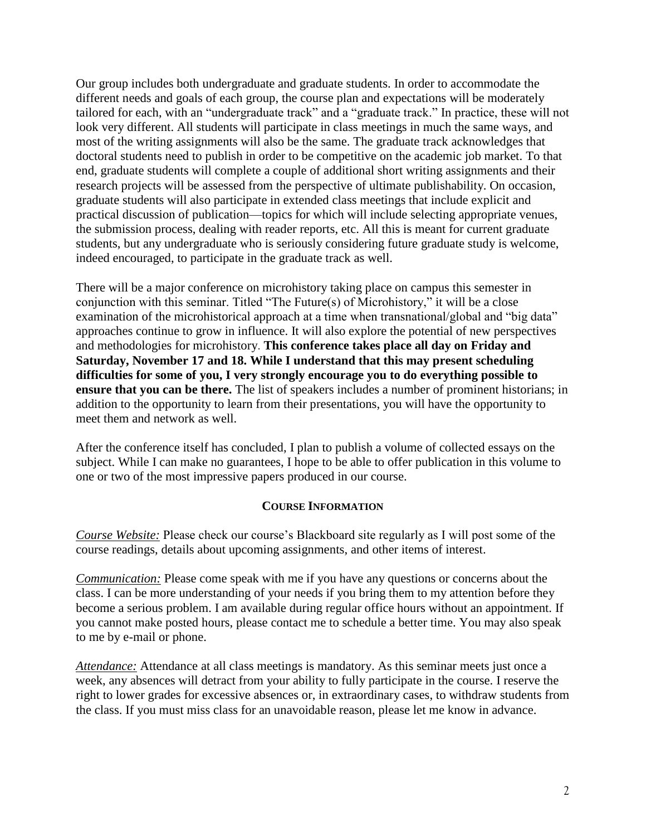Our group includes both undergraduate and graduate students. In order to accommodate the different needs and goals of each group, the course plan and expectations will be moderately tailored for each, with an "undergraduate track" and a "graduate track." In practice, these will not look very different. All students will participate in class meetings in much the same ways, and most of the writing assignments will also be the same. The graduate track acknowledges that doctoral students need to publish in order to be competitive on the academic job market. To that end, graduate students will complete a couple of additional short writing assignments and their research projects will be assessed from the perspective of ultimate publishability. On occasion, graduate students will also participate in extended class meetings that include explicit and practical discussion of publication—topics for which will include selecting appropriate venues, the submission process, dealing with reader reports, etc. All this is meant for current graduate students, but any undergraduate who is seriously considering future graduate study is welcome, indeed encouraged, to participate in the graduate track as well.

There will be a major conference on microhistory taking place on campus this semester in conjunction with this seminar. Titled "The Future(s) of Microhistory," it will be a close examination of the microhistorical approach at a time when transnational/global and "big data" approaches continue to grow in influence. It will also explore the potential of new perspectives and methodologies for microhistory. **This conference takes place all day on Friday and Saturday, November 17 and 18. While I understand that this may present scheduling difficulties for some of you, I very strongly encourage you to do everything possible to ensure that you can be there.** The list of speakers includes a number of prominent historians; in addition to the opportunity to learn from their presentations, you will have the opportunity to meet them and network as well.

After the conference itself has concluded, I plan to publish a volume of collected essays on the subject. While I can make no guarantees, I hope to be able to offer publication in this volume to one or two of the most impressive papers produced in our course.

### **COURSE INFORMATION**

*Course Website:* Please check our course's Blackboard site regularly as I will post some of the course readings, details about upcoming assignments, and other items of interest.

*Communication:* Please come speak with me if you have any questions or concerns about the class. I can be more understanding of your needs if you bring them to my attention before they become a serious problem. I am available during regular office hours without an appointment. If you cannot make posted hours, please contact me to schedule a better time. You may also speak to me by e-mail or phone.

*Attendance:* Attendance at all class meetings is mandatory. As this seminar meets just once a week, any absences will detract from your ability to fully participate in the course. I reserve the right to lower grades for excessive absences or, in extraordinary cases, to withdraw students from the class. If you must miss class for an unavoidable reason, please let me know in advance.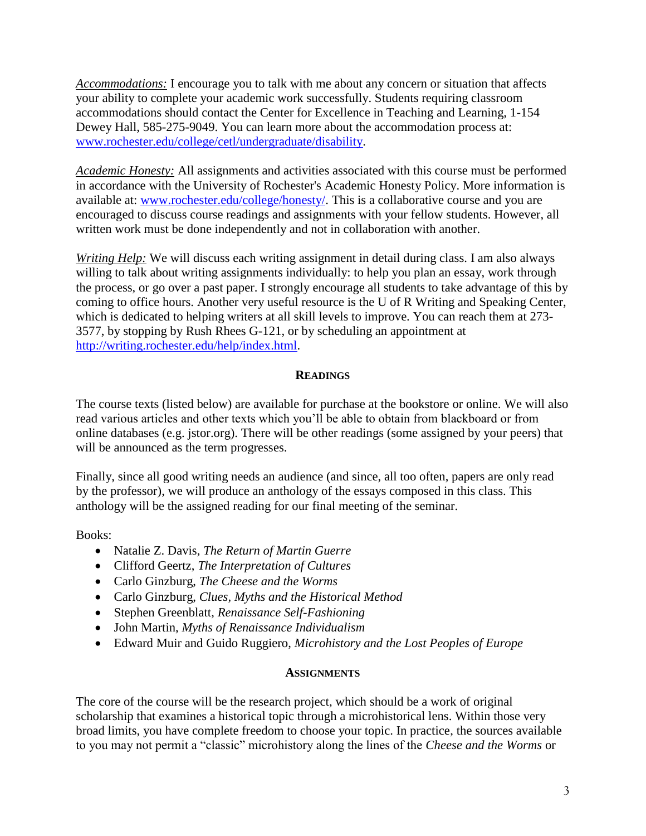*Accommodations:* I encourage you to talk with me about any concern or situation that affects your ability to complete your academic work successfully. Students requiring classroom accommodations should contact the Center for Excellence in Teaching and Learning, 1-154 Dewey Hall, 585-275-9049. You can learn more about the accommodation process at: [www.rochester.edu/college/cetl/undergraduate/disability.](http://www.rochester.edu/college/cetl/undergraduate/disability)

*Academic Honesty:* All assignments and activities associated with this course must be performed in accordance with the University of Rochester's Academic Honesty Policy. More information is available at: [www.rochester.edu/college/honesty/.](http://www.rochester.edu/college/honesty/) This is a collaborative course and you are encouraged to discuss course readings and assignments with your fellow students. However, all written work must be done independently and not in collaboration with another.

*Writing Help:* We will discuss each writing assignment in detail during class. I am also always willing to talk about writing assignments individually: to help you plan an essay, work through the process, or go over a past paper. I strongly encourage all students to take advantage of this by coming to office hours. Another very useful resource is the U of R Writing and Speaking Center, which is dedicated to helping writers at all skill levels to improve. You can reach them at 273- 3577, by stopping by Rush Rhees G-121, or by scheduling an appointment at [http://writing.rochester.edu/help/index.html.](http://writing.rochester.edu/help/index.html)

## **READINGS**

The course texts (listed below) are available for purchase at the bookstore or online. We will also read various articles and other texts which you'll be able to obtain from blackboard or from online databases (e.g. jstor.org). There will be other readings (some assigned by your peers) that will be announced as the term progresses.

Finally, since all good writing needs an audience (and since, all too often, papers are only read by the professor), we will produce an anthology of the essays composed in this class. This anthology will be the assigned reading for our final meeting of the seminar.

Books:

- Natalie Z. Davis, *The Return of Martin Guerre*
- Clifford Geertz, *The Interpretation of Cultures*
- Carlo Ginzburg, *The Cheese and the Worms*
- Carlo Ginzburg, *Clues, Myths and the Historical Method*
- Stephen Greenblatt, *Renaissance Self-Fashioning*
- John Martin, *Myths of Renaissance Individualism*
- Edward Muir and Guido Ruggiero, *Microhistory and the Lost Peoples of Europe*

## **ASSIGNMENTS**

The core of the course will be the research project, which should be a work of original scholarship that examines a historical topic through a microhistorical lens. Within those very broad limits, you have complete freedom to choose your topic. In practice, the sources available to you may not permit a "classic" microhistory along the lines of the *Cheese and the Worms* or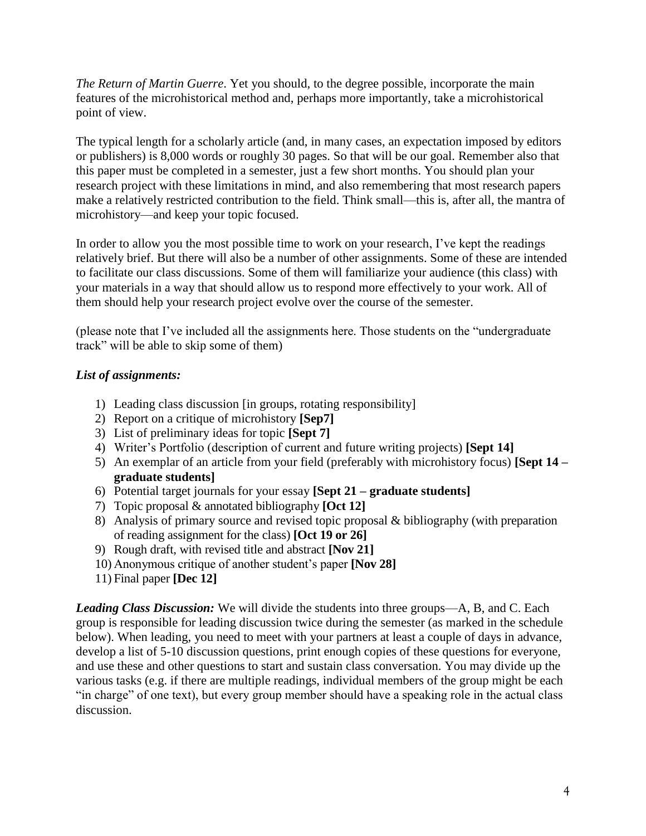*The Return of Martin Guerre*. Yet you should, to the degree possible, incorporate the main features of the microhistorical method and, perhaps more importantly, take a microhistorical point of view.

The typical length for a scholarly article (and, in many cases, an expectation imposed by editors or publishers) is 8,000 words or roughly 30 pages. So that will be our goal. Remember also that this paper must be completed in a semester, just a few short months. You should plan your research project with these limitations in mind, and also remembering that most research papers make a relatively restricted contribution to the field. Think small—this is, after all, the mantra of microhistory—and keep your topic focused.

In order to allow you the most possible time to work on your research, I've kept the readings relatively brief. But there will also be a number of other assignments. Some of these are intended to facilitate our class discussions. Some of them will familiarize your audience (this class) with your materials in a way that should allow us to respond more effectively to your work. All of them should help your research project evolve over the course of the semester.

(please note that I've included all the assignments here. Those students on the "undergraduate track" will be able to skip some of them)

## *List of assignments:*

- 1) Leading class discussion [in groups, rotating responsibility]
- 2) Report on a critique of microhistory **[Sep7]**
- 3) List of preliminary ideas for topic **[Sept 7]**
- 4) Writer's Portfolio (description of current and future writing projects) **[Sept 14]**
- 5) An exemplar of an article from your field (preferably with microhistory focus) **[Sept 14 – graduate students]**
- 6) Potential target journals for your essay **[Sept 21 – graduate students]**
- 7) Topic proposal & annotated bibliography **[Oct 12]**
- 8) Analysis of primary source and revised topic proposal & bibliography (with preparation of reading assignment for the class) **[Oct 19 or 26]**
- 9) Rough draft, with revised title and abstract **[Nov 21]**
- 10) Anonymous critique of another student's paper **[Nov 28]**
- 11) Final paper **[Dec 12]**

*Leading Class Discussion:* We will divide the students into three groups—A, B, and C. Each group is responsible for leading discussion twice during the semester (as marked in the schedule below). When leading, you need to meet with your partners at least a couple of days in advance, develop a list of 5-10 discussion questions, print enough copies of these questions for everyone, and use these and other questions to start and sustain class conversation. You may divide up the various tasks (e.g. if there are multiple readings, individual members of the group might be each "in charge" of one text), but every group member should have a speaking role in the actual class discussion.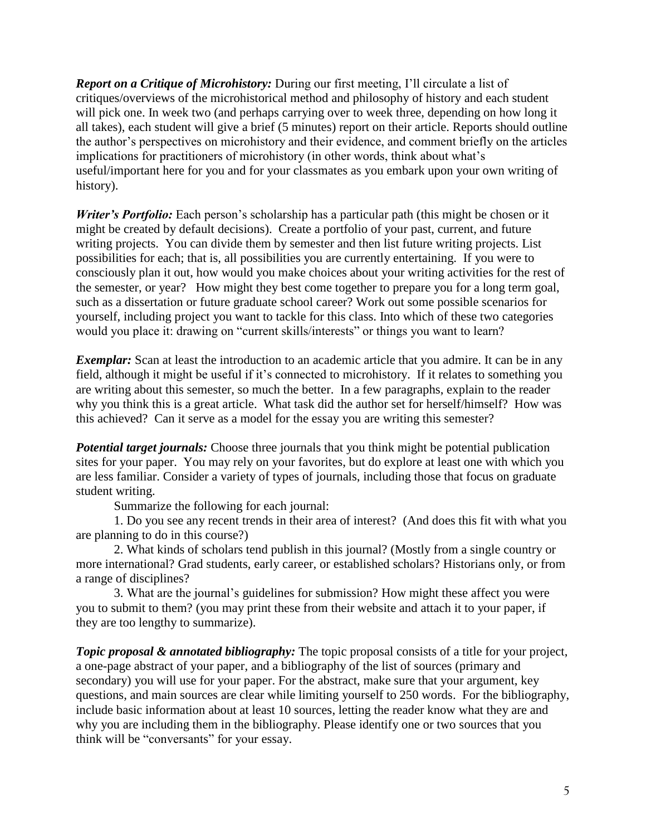*Report on a Critique of Microhistory:* During our first meeting, I'll circulate a list of critiques/overviews of the microhistorical method and philosophy of history and each student will pick one. In week two (and perhaps carrying over to week three, depending on how long it all takes), each student will give a brief (5 minutes) report on their article. Reports should outline the author's perspectives on microhistory and their evidence, and comment briefly on the articles implications for practitioners of microhistory (in other words, think about what's useful/important here for you and for your classmates as you embark upon your own writing of history).

*Writer's Portfolio:* Each person's scholarship has a particular path (this might be chosen or it might be created by default decisions). Create a portfolio of your past, current, and future writing projects. You can divide them by semester and then list future writing projects. List possibilities for each; that is, all possibilities you are currently entertaining. If you were to consciously plan it out, how would you make choices about your writing activities for the rest of the semester, or year? How might they best come together to prepare you for a long term goal, such as a dissertation or future graduate school career? Work out some possible scenarios for yourself, including project you want to tackle for this class. Into which of these two categories would you place it: drawing on "current skills/interests" or things you want to learn?

*Exemplar:* Scan at least the introduction to an academic article that you admire. It can be in any field, although it might be useful if it's connected to microhistory. If it relates to something you are writing about this semester, so much the better. In a few paragraphs, explain to the reader why you think this is a great article. What task did the author set for herself/himself? How was this achieved? Can it serve as a model for the essay you are writing this semester?

**Potential target journals:** Choose three journals that you think might be potential publication sites for your paper. You may rely on your favorites, but do explore at least one with which you are less familiar. Consider a variety of types of journals, including those that focus on graduate student writing.

Summarize the following for each journal:

1. Do you see any recent trends in their area of interest? (And does this fit with what you are planning to do in this course?)

2. What kinds of scholars tend publish in this journal? (Mostly from a single country or more international? Grad students, early career, or established scholars? Historians only, or from a range of disciplines?

3. What are the journal's guidelines for submission? How might these affect you were you to submit to them? (you may print these from their website and attach it to your paper, if they are too lengthy to summarize).

*Topic proposal & annotated bibliography:* The topic proposal consists of a title for your project, a one-page abstract of your paper, and a bibliography of the list of sources (primary and secondary) you will use for your paper. For the abstract, make sure that your argument, key questions, and main sources are clear while limiting yourself to 250 words. For the bibliography, include basic information about at least 10 sources, letting the reader know what they are and why you are including them in the bibliography. Please identify one or two sources that you think will be "conversants" for your essay.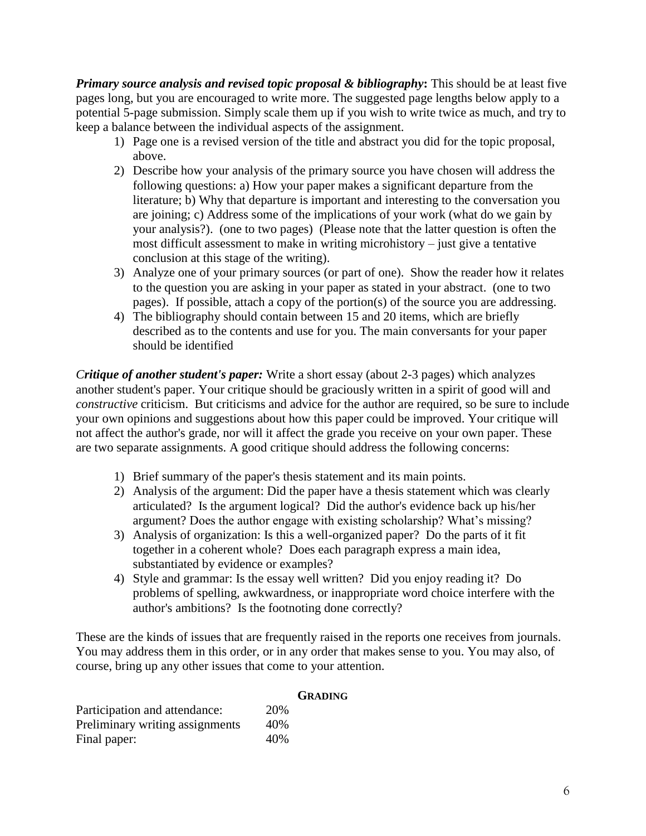*Primary source analysis and revised topic proposal & bibliography***:** This should be at least five pages long, but you are encouraged to write more. The suggested page lengths below apply to a potential 5-page submission. Simply scale them up if you wish to write twice as much, and try to keep a balance between the individual aspects of the assignment.

- 1) Page one is a revised version of the title and abstract you did for the topic proposal, above.
- 2) Describe how your analysis of the primary source you have chosen will address the following questions: a) How your paper makes a significant departure from the literature; b) Why that departure is important and interesting to the conversation you are joining; c) Address some of the implications of your work (what do we gain by your analysis?). (one to two pages) (Please note that the latter question is often the most difficult assessment to make in writing microhistory – just give a tentative conclusion at this stage of the writing).
- 3) Analyze one of your primary sources (or part of one). Show the reader how it relates to the question you are asking in your paper as stated in your abstract. (one to two pages). If possible, attach a copy of the portion(s) of the source you are addressing.
- 4) The bibliography should contain between 15 and 20 items, which are briefly described as to the contents and use for you. The main conversants for your paper should be identified

*Critique of another student's paper:* Write a short essay (about 2-3 pages) which analyzes another student's paper. Your critique should be graciously written in a spirit of good will and *constructive* criticism. But criticisms and advice for the author are required, so be sure to include your own opinions and suggestions about how this paper could be improved. Your critique will not affect the author's grade, nor will it affect the grade you receive on your own paper. These are two separate assignments. A good critique should address the following concerns:

- 1) Brief summary of the paper's thesis statement and its main points.
- 2) Analysis of the argument: Did the paper have a thesis statement which was clearly articulated? Is the argument logical? Did the author's evidence back up his/her argument? Does the author engage with existing scholarship? What's missing?
- 3) Analysis of organization: Is this a well-organized paper? Do the parts of it fit together in a coherent whole? Does each paragraph express a main idea, substantiated by evidence or examples?
- 4) Style and grammar: Is the essay well written? Did you enjoy reading it? Do problems of spelling, awkwardness, or inappropriate word choice interfere with the author's ambitions? Is the footnoting done correctly?

These are the kinds of issues that are frequently raised in the reports one receives from journals. You may address them in this order, or in any order that makes sense to you. You may also, of course, bring up any other issues that come to your attention.

|                                 |     | <b>GRADING</b> |
|---------------------------------|-----|----------------|
| Participation and attendance:   | 20% |                |
| Preliminary writing assignments | 40% |                |
| Final paper:                    | 40% |                |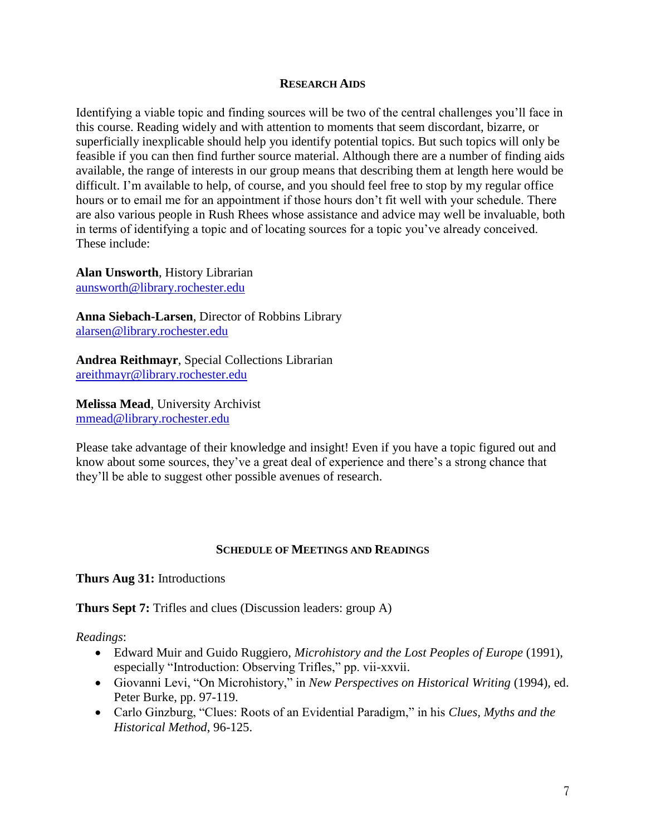#### **RESEARCH AIDS**

Identifying a viable topic and finding sources will be two of the central challenges you'll face in this course. Reading widely and with attention to moments that seem discordant, bizarre, or superficially inexplicable should help you identify potential topics. But such topics will only be feasible if you can then find further source material. Although there are a number of finding aids available, the range of interests in our group means that describing them at length here would be difficult. I'm available to help, of course, and you should feel free to stop by my regular office hours or to email me for an appointment if those hours don't fit well with your schedule. There are also various people in Rush Rhees whose assistance and advice may well be invaluable, both in terms of identifying a topic and of locating sources for a topic you've already conceived. These include:

**Alan Unsworth**, History Librarian [aunsworth@library.rochester.edu](mailto:aunsworth@library.rochester.edu)

**Anna Siebach-Larsen**, Director of Robbins Library [alarsen@library.rochester.edu](mailto:alarsen@library.rochester.edu)

**Andrea Reithmayr**, Special Collections Librarian [areithmayr@library.rochester.edu](mailto:areithmayr@library.rochester.edu)

**Melissa Mead**, University Archivist [mmead@library.rochester.edu](mailto:mmead@library.rochester.edu)

Please take advantage of their knowledge and insight! Even if you have a topic figured out and know about some sources, they've a great deal of experience and there's a strong chance that they'll be able to suggest other possible avenues of research.

### **SCHEDULE OF MEETINGS AND READINGS**

**Thurs Aug 31:** Introductions

**Thurs Sept 7:** Trifles and clues (Discussion leaders: group A)

*Readings*:

- Edward Muir and Guido Ruggiero, *Microhistory and the Lost Peoples of Europe* (1991), especially "Introduction: Observing Trifles," pp. vii-xxvii.
- Giovanni Levi, "On Microhistory," in *New Perspectives on Historical Writing* (1994), ed. Peter Burke, pp. 97-119.
- Carlo Ginzburg, "Clues: Roots of an Evidential Paradigm," in his *Clues, Myths and the Historical Method*, 96-125.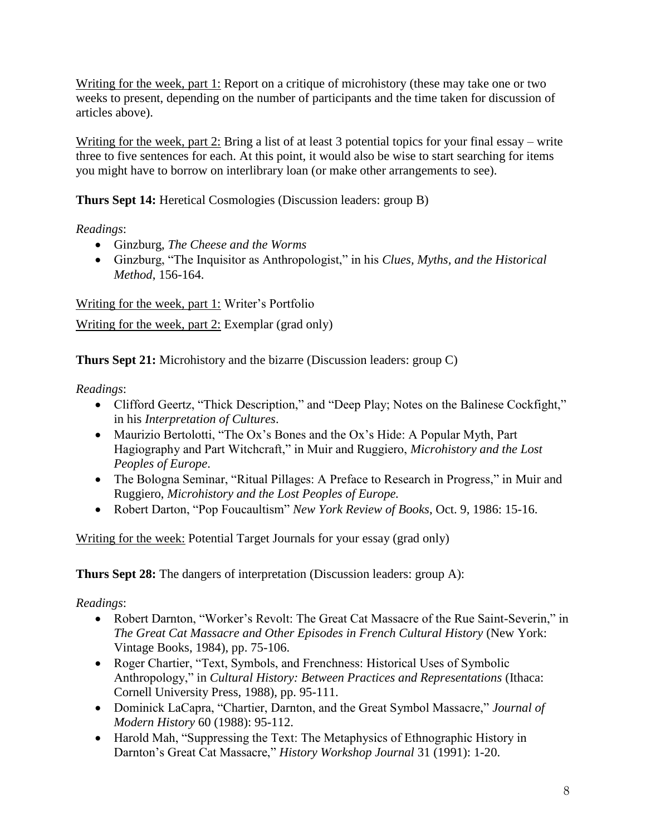Writing for the week, part 1: Report on a critique of microhistory (these may take one or two weeks to present, depending on the number of participants and the time taken for discussion of articles above).

Writing for the week, part 2: Bring a list of at least 3 potential topics for your final essay – write three to five sentences for each. At this point, it would also be wise to start searching for items you might have to borrow on interlibrary loan (or make other arrangements to see).

**Thurs Sept 14:** Heretical Cosmologies (Discussion leaders: group B)

*Readings*:

- Ginzburg, *The Cheese and the Worms*
- Ginzburg, "The Inquisitor as Anthropologist," in his *Clues, Myths, and the Historical Method*, 156-164.

Writing for the week, part 1: Writer's Portfolio

Writing for the week, part 2: Exemplar (grad only)

**Thurs Sept 21:** Microhistory and the bizarre (Discussion leaders: group C)

*Readings*:

- Clifford Geertz, "Thick Description," and "Deep Play; Notes on the Balinese Cockfight," in his *Interpretation of Cultures*.
- Maurizio Bertolotti, "The Ox's Bones and the Ox's Hide: A Popular Myth, Part Hagiography and Part Witchcraft," in Muir and Ruggiero, *Microhistory and the Lost Peoples of Europe*.
- The Bologna Seminar, "Ritual Pillages: A Preface to Research in Progress," in Muir and Ruggiero, *Microhistory and the Lost Peoples of Europe.*
- Robert Darton, "Pop Foucaultism" *New York Review of Books*, Oct. 9, 1986: 15-16.

Writing for the week: Potential Target Journals for your essay (grad only)

**Thurs Sept 28:** The dangers of interpretation (Discussion leaders: group A):

*Readings*:

- Robert Darnton, "Worker's Revolt: The Great Cat Massacre of the Rue Saint-Severin," in *The Great Cat Massacre and Other Episodes in French Cultural History* (New York: Vintage Books, 1984), pp. 75-106.
- Roger Chartier, "Text, Symbols, and Frenchness: Historical Uses of Symbolic Anthropology," in *Cultural History: Between Practices and Representations* (Ithaca: Cornell University Press, 1988), pp. 95-111.
- Dominick LaCapra, "Chartier, Darnton, and the Great Symbol Massacre," *Journal of Modern History* 60 (1988): 95-112.
- Harold Mah, "Suppressing the Text: The Metaphysics of Ethnographic History in Darnton's Great Cat Massacre," *History Workshop Journal* 31 (1991): 1-20.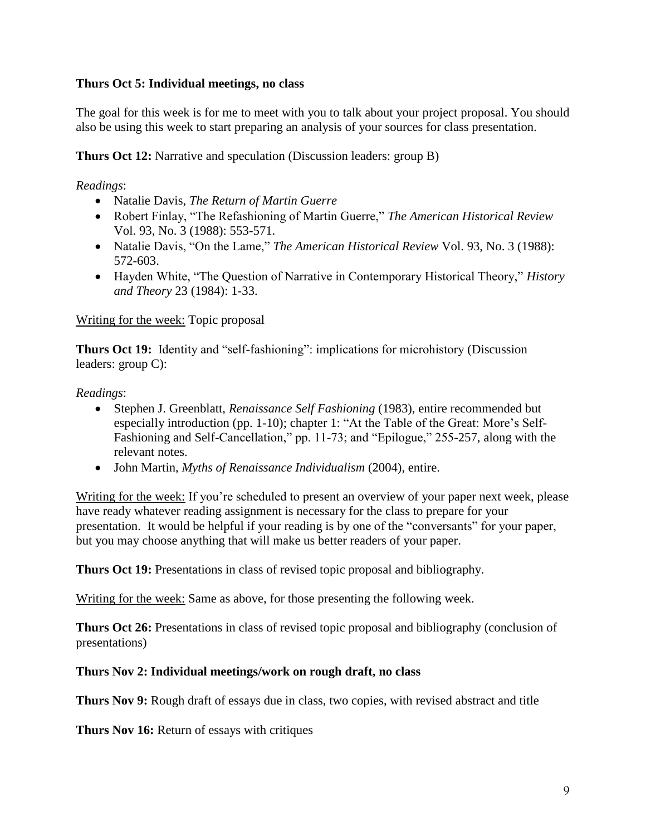# **Thurs Oct 5: Individual meetings, no class**

The goal for this week is for me to meet with you to talk about your project proposal. You should also be using this week to start preparing an analysis of your sources for class presentation.

**Thurs Oct 12:** Narrative and speculation (Discussion leaders: group B)

*Readings*:

- Natalie Davis, *The Return of Martin Guerre*
- Robert Finlay, "The Refashioning of Martin Guerre," *The American Historical Review* Vol. 93, No. 3 (1988): 553-571.
- Natalie Davis, "On the Lame," *The American Historical Review* Vol. 93, No. 3 (1988): 572-603.
- Hayden White, "The Question of Narrative in Contemporary Historical Theory," *History and Theory* 23 (1984): 1-33.

## Writing for the week: Topic proposal

**Thurs Oct 19:** Identity and "self-fashioning": implications for microhistory (Discussion leaders: group C):

*Readings*:

- Stephen J. Greenblatt, *Renaissance Self Fashioning* (1983), entire recommended but especially introduction (pp. 1-10); chapter 1: "At the Table of the Great: More's Self-Fashioning and Self-Cancellation," pp. 11-73; and "Epilogue," 255-257, along with the relevant notes.
- John Martin, *Myths of Renaissance Individualism* (2004), entire.

Writing for the week: If you're scheduled to present an overview of your paper next week, please have ready whatever reading assignment is necessary for the class to prepare for your presentation. It would be helpful if your reading is by one of the "conversants" for your paper, but you may choose anything that will make us better readers of your paper.

**Thurs Oct 19:** Presentations in class of revised topic proposal and bibliography.

Writing for the week: Same as above, for those presenting the following week.

**Thurs Oct 26:** Presentations in class of revised topic proposal and bibliography (conclusion of presentations)

## **Thurs Nov 2: Individual meetings/work on rough draft, no class**

**Thurs Nov 9:** Rough draft of essays due in class, two copies, with revised abstract and title

**Thurs Nov 16:** Return of essays with critiques